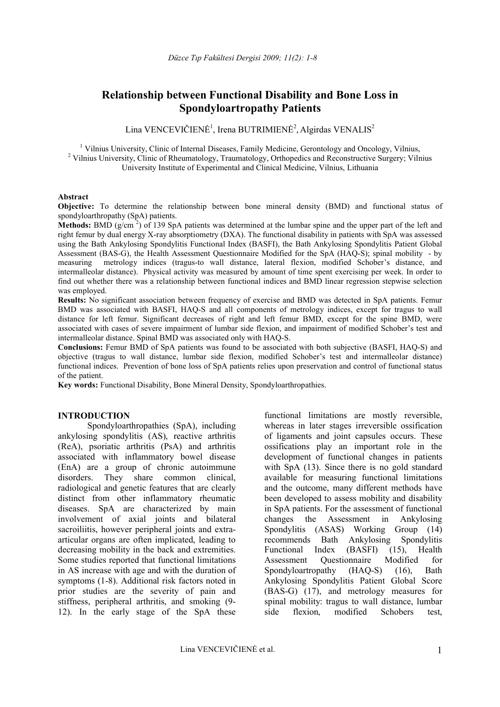# **Relationship between Functional Disability and Bone Loss in Spondyloartropathy Patients**

 $\rm Lina \, VENCEVI \v{C} I EN \v{E}^1,$  Irena  $\rm BUTRI M I EN \v{E}^2, Algirdas \, V ENALIS^2$ 

<sup>1</sup> Vilnius University, Clinic of Internal Diseases, Family Medicine, Gerontology and Oncology, Vilnius, <sup>2</sup> Vilnius University, Clinic of Rheumatology, Traumatology, Orthopedics and Reconstructive Surgery; Vilnius University Institute of Experimental and Clinical Medicine, Vilnius, Lithuania

#### **Abstract**

**Objective:** To determine the relationship between bone mineral density (BMD) and functional status of spondyloarthropathy (SpA) patients.

Methods: BMD (g/cm<sup>2</sup>) of 139 SpA patients was determined at the lumbar spine and the upper part of the left and right femur by dual energy X-ray absorptiometry (DXA). The functional disability in patients with SpA was assessed using the Bath Ankylosing Spondylitis Functional Index (BASFI), the Bath Ankylosing Spondylitis Patient Global Assessment (BAS-G), the Health Assessment Questionnaire Modified for the SpA (HAQ-S); spinal mobility - by measuring metrology indices (tragus-to wall distance, lateral flexion, modified Schober's distance, and intermalleolar distance). Physical activity was measured by amount of time spent exercising per week. In order to find out whether there was a relationship between functional indices and BMD linear regression stepwise selection was employed.

**Results:** No significant association between frequency of exercise and BMD was detected in SpA patients. Femur BMD was associated with BASFI, HAQ-S and all components of metrology indices, except for tragus to wall distance for left femur. Significant decreases of right and left femur BMD, except for the spine BMD, were associated with cases of severe impairment of lumbar side flexion, and impairment of modified Schober's test and intermalleolar distance. Spinal BMD was associated only with HAQ-S.

**Conclusions:** Femur BMD of SpA patients was found to be associated with both subjective (BASFI, HAQ-S) and objective (tragus to wall distance, lumbar side flexion, modified Schober's test and intermalleolar distance) functional indices. Prevention of bone loss of SpA patients relies upon preservation and control of functional status of the patient.

**Key words:** Functional Disability, Bone Mineral Density, Spondyloarthropathies.

#### **INTRODUCTION**

Spondyloarthropathies (SpA), including ankylosing spondylitis (AS), reactive arthritis (ReA), psoriatic arthritis (PsA) and arthritis associated with inflammatory bowel disease (EnA) are a group of chronic autoimmune disorders. They share common clinical, radiological and genetic features that are clearly distinct from other inflammatory rheumatic diseases. SpA are characterized by main involvement of axial joints and bilateral sacroiliitis, however peripheral joints and extraarticular organs are often implicated, leading to decreasing mobility in the back and extremities. Some studies reported that functional limitations in AS increase with age and with the duration of symptoms (1-8). Additional risk factors noted in prior studies are the severity of pain and stiffness, peripheral arthritis, and smoking (9- 12). In the early stage of the SpA these

functional limitations are mostly reversible, whereas in later stages irreversible ossification of ligaments and joint capsules occurs. These ossifications play an important role in the development of functional changes in patients with SpA  $(13)$ . Since there is no gold standard available for measuring functional limitations and the outcome, many different methods have been developed to assess mobility and disability in SpA patients. For the assessment of functional changes the Assessment in Ankylosing Spondylitis (ASAS) Working Group (14) recommends Bath Ankylosing Spondylitis Functional Index (BASFI) (15), Health Assessment Questionnaire Modified for Spondyloartropathy (HAQ-S) (16), Bath Ankylosing Spondylitis Patient Global Score (BAS-G) (17), and metrology measures for spinal mobility: tragus to wall distance, lumbar side flexion, modified Schobers test,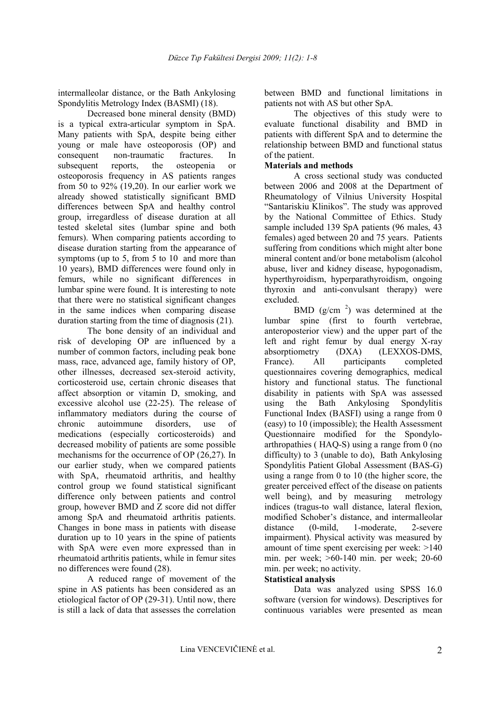intermalleolar distance, or the Bath Ankylosing Spondylitis Metrology Index (BASMI) (18).

Decreased bone mineral density (BMD) is a typical extra-articular symptom in SpA. Many patients with SpA, despite being either young or male have osteoporosis (OP) and consequent non-traumatic fractures. In subsequent reports, the osteopenia or osteoporosis frequency in AS patients ranges from 50 to 92% (19,20). In our earlier work we already showed statistically significant BMD differences between SpA and healthy control group, irregardless of disease duration at all tested skeletal sites (lumbar spine and both femurs). When comparing patients according to disease duration starting from the appearance of symptoms (up to 5, from 5 to 10 and more than 10 years), BMD differences were found only in femurs, while no significant differences in lumbar spine were found. It is interesting to note that there were no statistical significant changes in the same indices when comparing disease duration starting from the time of diagnosis (21).

The bone density of an individual and risk of developing OP are influenced by a number of common factors, including peak bone mass, race, advanced age, family history of OP, other illnesses, decreased sex-steroid activity, corticosteroid use, certain chronic diseases that affect absorption or vitamin D, smoking, and excessive alcohol use (22-25). The release of inflammatory mediators during the course of chronic autoimmune disorders, use of medications (especially corticosteroids) and decreased mobility of patients are some possible mechanisms for the occurrence of OP (26,27). In our earlier study, when we compared patients with SpA, rheumatoid arthritis, and healthy control group we found statistical significant difference only between patients and control group, however BMD and Z score did not differ among SpA and rheumatoid arthritis patients. Changes in bone mass in patients with disease duration up to 10 years in the spine of patients with SpA were even more expressed than in rheumatoid arthritis patients, while in femur sites no differences were found (28).

A reduced range of movement of the spine in AS patients has been considered as an etiological factor of OP (29-31). Until now, there is still a lack of data that assesses the correlation

between BMD and functional limitations in patients not with AS but other SpA.

The objectives of this study were to evaluate functional disability and BMD in patients with different SpA and to determine the relationship between BMD and functional status of the patient.

### **Materials and methods**

A cross sectional study was conducted between 2006 and 2008 at the Department of Rheumatology of Vilnius University Hospital "Santariskiu Klinikos". The study was approved by the National Committee of Ethics. Study sample included 139 SpA patients (96 males, 43 females) aged between 20 and 75 years. Patients suffering from conditions which might alter bone mineral content and/or bone metabolism (alcohol abuse, liver and kidney disease, hypogonadism, hyperthyroidism, hyperparathyroidism, ongoing thyroxin and anti-convulsant therapy) were excluded.

BMD  $(g/cm<sup>2</sup>)$  was determined at the lumbar spine (first to fourth vertebrae, anteroposterior view) and the upper part of the left and right femur by dual energy X-ray absorptiometry (DXA) (LEXXOS-DMS, France). All participants completed questionnaires covering demographics, medical history and functional status. The functional disability in patients with SpA was assessed using the Bath Ankylosing Spondylitis Functional Index (BASFI) using a range from 0 (easy) to 10 (impossible); the Health Assessment Questionnaire modified for the Spondyloarthropathies ( HAQ-S) using a range from 0 (no difficulty) to 3 (unable to do), Bath Ankylosing Spondylitis Patient Global Assessment (BAS-G) using a range from 0 to 10 (the higher score, the greater perceived effect of the disease on patients well being), and by measuring metrology indices (tragus-to wall distance, lateral flexion, modified Schober's distance, and intermalleolar distance (0-mild, 1-moderate, 2-severe impairment). Physical activity was measured by amount of time spent exercising per week: >140 min. per week; >60-140 min. per week; 20-60 min. per week; no activity.

# **Statistical analysis**

Data was analyzed using SPSS 16.0 software (version for windows). Descriptives for continuous variables were presented as mean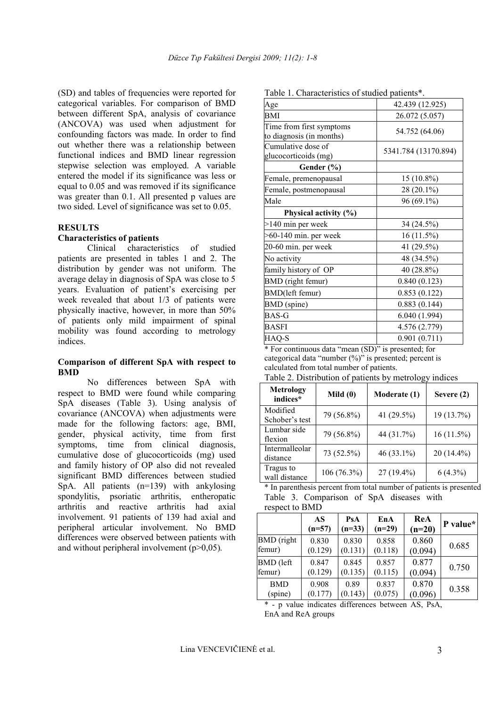(SD) and tables of frequencies were reported for categorical variables. For comparison of BMD between different SpA, analysis of covariance (ANCOVA) was used when adjustment for confounding factors was made. In order to find out whether there was a relationship between functional indices and BMD linear regression stepwise selection was employed. A variable entered the model if its significance was less or equal to 0.05 and was removed if its significance was greater than 0.1. All presented p values are two sided. Level of significance was set to 0.05.

#### **RESULTS**

#### **Characteristics of patients**

Clinical characteristics of studied patients are presented in tables 1 and 2. The distribution by gender was not uniform. The average delay in diagnosis of SpA was close to 5 years. Evaluation of patient's exercising per week revealed that about 1/3 of patients were physically inactive, however, in more than 50% of patients only mild impairment of spinal mobility was found according to metrology indices.

#### **Comparison of different SpA with respect to BMD**

No differences between SpA with respect to BMD were found while comparing SpA diseases (Table 3). Using analysis of covariance (ANCOVA) when adjustments were made for the following factors: age, BMI, gender, physical activity, time from first symptoms, time from clinical diagnosis, cumulative dose of glucocorticoids (mg) used and family history of OP also did not revealed significant BMD differences between studied SpA. All patients (n=139) with ankylosing spondylitis, psoriatic arthritis, entheropatic arthritis and reactive arthritis had axial involvement. 91 patients of 139 had axial and peripheral articular involvement. No BMD differences were observed between patients with and without peripheral involvement  $(p>0.05)$ .

| Age                                                  | 42.439 (12.925)      |
|------------------------------------------------------|----------------------|
| BMI                                                  | 26.072 (5.057)       |
| Time from first symptoms<br>to diagnosis (in months) | 54.752 (64.06)       |
| Cumulative dose of<br>glucocorticoids (mg)           | 5341.784 (13170.894) |
| Gender (%)                                           |                      |
| Female, premenopausal                                | 15 (10.8%)           |
| Female, postmenopausal                               | 28 (20.1%)           |
| Male                                                 | 96 (69.1%)           |
| Physical activity (%)                                |                      |
| >140 min per week                                    | 34 (24.5%)           |
| $>60-140$ min. per week                              | $16(11.5\%)$         |
| 20-60 min. per week                                  | 41 (29.5%)           |
| No activity                                          | 48 (34.5%)           |
| family history of OP                                 | 40 (28.8%)           |
| BMD (right femur)                                    | 0.840(0.123)         |
| BMD(left femur)                                      | 0.853(0.122)         |
| <b>BMD</b> (spine)                                   | 0.883(0.144)         |
| BAS-G                                                | 6.040(1.994)         |
| BASFI                                                | 4.576 (2.779)        |
| HAQ-S                                                | 0.901(0.711)         |

Table 1. Characteristics of studied patients\*.

\* For continuous data "mean (SD)" is presented; for categorical data "number (%)" is presented; percent is calculated from total number of patients.

Table 2. Distribution of patients by metrology indices

| <b>Metrology</b><br>indices* | Mild $(0)$  | Moderate (1) | Severe (2)   |
|------------------------------|-------------|--------------|--------------|
| Modified<br>Schober's test   | 79 (56.8%)  | 41 (29.5%)   | 19 (13.7%)   |
| Lumbar side<br>flexion       | 79 (56.8%)  | 44 (31.7%)   | $16(11.5\%)$ |
| Intermalleolar<br>distance   | 73 (52.5%)  | $46(33.1\%)$ | $20(14.4\%)$ |
| Tragus to<br>wall distance   | 106 (76.3%) | 27 (19.4%)   | $6(4.3\%)$   |

\* In parenthesis percent from total number of patients is presented Table 3. Comparison of SpA diseases with respect to BMD

|                  | AS<br>$(n=57)$ | PsA<br>$(n=33)$ | EnA<br>$(n=29)$ | ReA<br>$(n=20)$ | P value* |
|------------------|----------------|-----------------|-----------------|-----------------|----------|
| BMD (right)      | 0.830          | 0.830           | 0.858           | 0.860           | 0.685    |
| femur)           | (0.129)        | (0.131)         | (0.118)         | (0.094)         |          |
| <b>BMD</b> (left | 0.847          | 0.845           | 0.857           | 0.877           | 0.750    |
| femur)           | (0.129)        | (0.135)         | (0.115)         | (0.094)         |          |
| <b>BMD</b>       | 0.908          | 0.89            | 0.837           | 0.870           | 0.358    |
| (spine)          | (0.177)        | (0.143)         | (0.075)         | (0.096)         |          |

\* - p value indicates differences between AS, PsA, EnA and ReA groups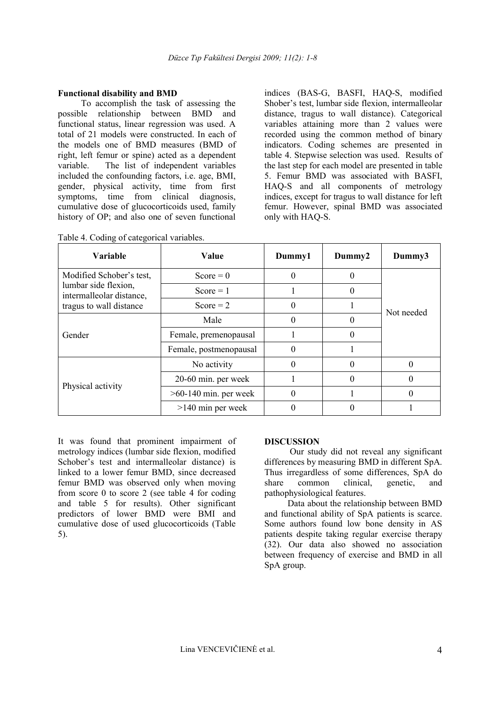### **Functional disability and BMD**

To accomplish the task of assessing the possible relationship between BMD and functional status, linear regression was used. A total of 21 models were constructed. In each of the models one of BMD measures (BMD of right, left femur or spine) acted as a dependent variable. The list of independent variables included the confounding factors, i.e. age, BMI, gender, physical activity, time from first symptoms, time from clinical diagnosis, cumulative dose of glucocorticoids used, family history of OP; and also one of seven functional

indices (BAS-G, BASFI, HAQ-S, modified Shober's test, lumbar side flexion, intermalleolar distance, tragus to wall distance). Categorical variables attaining more than 2 values were recorded using the common method of binary indicators. Coding schemes are presented in table 4. Stepwise selection was used. Results of the last step for each model are presented in table 5. Femur BMD was associated with BASFI, HAQ-S and all components of metrology indices, except for tragus to wall distance for left femur. However, spinal BMD was associated only with HAQ-S.

| <b>Variable</b>                                                                                         | Value                   | Dummy1 | Dummy2 | Dummy3     |  |
|---------------------------------------------------------------------------------------------------------|-------------------------|--------|--------|------------|--|
| Modified Schober's test,<br>lumbar side flexion,<br>intermalleolar distance,<br>tragus to wall distance | $Score = 0$             | 0      |        |            |  |
|                                                                                                         | $Score = 1$             |        |        | Not needed |  |
|                                                                                                         | Score $= 2$             |        |        |            |  |
| Gender                                                                                                  | Male                    |        |        |            |  |
|                                                                                                         | Female, premenopausal   |        |        |            |  |
|                                                                                                         | Female, postmenopausal  | 0      |        |            |  |
|                                                                                                         | No activity             |        |        | 0          |  |
| Physical activity                                                                                       | 20-60 min. per week     |        |        | 0          |  |
|                                                                                                         | $>60-140$ min. per week |        |        | 0          |  |
|                                                                                                         | $>140$ min per week     |        |        |            |  |

|  |  | Table 4. Coding of categorical variables. |
|--|--|-------------------------------------------|
|  |  |                                           |

It was found that prominent impairment of metrology indices (lumbar side flexion, modified Schober's test and intermalleolar distance) is linked to a lower femur BMD, since decreased femur BMD was observed only when moving from score 0 to score 2 (see table 4 for coding and table 5 for results). Other significant predictors of lower BMD were BMI and cumulative dose of used glucocorticoids (Table 5).

#### **DISCUSSION**

Our study did not reveal any significant differences by measuring BMD in different SpA. Thus irregardless of some differences, SpA do share common clinical, genetic, and pathophysiological features.

Data about the relationship between BMD and functional ability of SpA patients is scarce. Some authors found low bone density in AS patients despite taking regular exercise therapy (32). Our data also showed no association between frequency of exercise and BMD in all SpA group.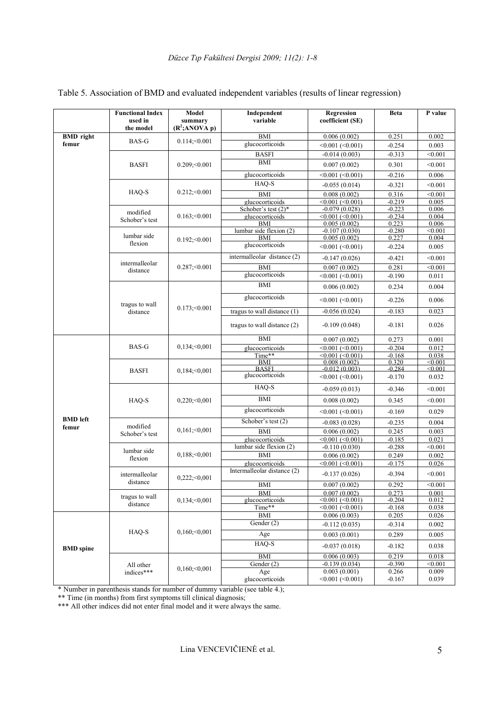|                           | <b>Functional Index</b><br>used in | Model<br>summary    | Independent<br>variable       | Regression<br>coefficient (SE)                | <b>Beta</b>       | P value            |
|---------------------------|------------------------------------|---------------------|-------------------------------|-----------------------------------------------|-------------------|--------------------|
|                           | the model                          | $(R^2; ANOVA$ p)    |                               |                                               |                   |                    |
| <b>BMD</b> right<br>femur | <b>BAS-G</b>                       | $0.114; \leq 0.001$ | <b>BMI</b><br>glucocorticoids | 0.006(0.002)<br>$\leq 0.001$ ( $\leq 0.001$ ) | 0.251<br>$-0.254$ | 0.002<br>0.003     |
|                           |                                    |                     | <b>BASFI</b>                  |                                               |                   |                    |
|                           |                                    |                     | <b>BMI</b>                    | $-0.014(0.003)$                               | $-0.313$          | < 0.001            |
|                           | <b>BASFI</b>                       | $0.209$ ; < 0.001   |                               | 0.007(0.002)                                  | 0.301             | < 0.001            |
|                           |                                    |                     | glucocorticoids               | $< 0.001 (-0.001)$                            | $-0.216$          | 0.006              |
|                           |                                    |                     | HAQ-S                         | $-0.055(0.014)$                               | $-0.321$          | < 0.001            |
|                           | HAQ-S                              | $0.212; \leq 0.001$ | <b>BMI</b>                    | 0.008(0.002)                                  | 0.316             | < 0.001            |
|                           |                                    |                     | glucocorticoids               | $<0.001$ $(<0.001$ )                          | $-0.219$          | 0.005              |
|                           | modified                           |                     | Schober's test (2)*           | $-0.079(0.028)$                               | $-0.223$          | 0.006              |
|                           | Schober's test                     | $0.163$ ; < 0.001   | glucocorticoids<br>BMI        | $< 0.001$ ( $< 0.001$ )<br>0.005(0.002)       | $-0.234$<br>0.223 | 0.004<br>0.006     |
|                           |                                    |                     | lumbar side flexion (2)       | $-0.107(0.030)$                               | $-0.280$          | < 0.001            |
|                           | lumbar side                        | $0.192;\leq 0.001$  | BMI                           | 0.005(0.002)                                  | 0.227             | 0.004              |
|                           | flexion                            |                     | glucocorticoids               | $\leq 0.001$ ( $\leq 0.001$ )                 | $-0.224$          | 0.005              |
|                           |                                    |                     | intermalleolar distance (2)   | $-0.147(0.026)$                               | $-0.421$          | < 0.001            |
|                           | intermalleolar<br>distance         | $0.287; \le 0.001$  | <b>BMI</b>                    | 0.007(0.002)                                  | 0.281             | < 0.001            |
|                           |                                    |                     | glucocorticoids               | $< 0.001 (-0.001)$                            | $-0.190$          | 0.011              |
|                           |                                    |                     | <b>BMI</b>                    | 0.006(0.002)                                  | 0.234             | 0.004              |
|                           | tragus to wall                     |                     | glucocorticoids               | $<0.001 (<0.001$ )                            | $-0.226$          | 0.006              |
|                           | distance                           | $0.173; \le 0.001$  | tragus to wall distance $(1)$ | $-0.056(0.024)$                               | $-0.183$          | 0.023              |
|                           |                                    |                     | tragus to wall distance (2)   | $-0.109(0.048)$                               | $-0.181$          | 0.026              |
|                           |                                    |                     | <b>BMI</b>                    | 0.007(0.002)                                  | 0.273             | 0.001              |
|                           | BAS-G                              | $0,134; \leq 0,001$ | glucocorticoids               | $\leq 0.001 (\leq 0.001)$                     | $-0.204$          | 0.012              |
|                           |                                    |                     | Time**                        | $< 0.001$ ( $< 0.001$ )                       | $-0.168$          | 0.038              |
|                           |                                    |                     | <b>BMI</b><br><b>BASFI</b>    | 0.008(0.002)<br>$-0.012(0.003)$               | 0.320<br>$-0.284$ | < 0.001<br>< 0.001 |
|                           | <b>BASFI</b>                       | $0,184; \leq 0,001$ | glucocorticoids               | $\leq 0.001$ ( $\leq 0.001$ )                 | $-0.170$          | 0.032              |
|                           |                                    | $0,220; \leq 0,001$ | HAQ-S                         | $-0.059(0.013)$                               | $-0.346$          | < 0.001            |
|                           | HAQ-S                              |                     | <b>BMI</b>                    | 0.008(0.002)                                  | 0.345             | < 0.001            |
|                           |                                    |                     | glucocorticoids               | $\leq 0.001$ ( $\leq 0.001$ )                 | $-0.169$          | 0.029              |
| <b>BMD</b> left           | modified<br>Schober's test         | $0,161; \leq 0,001$ | Schober's test (2)            | $-0.083(0.028)$                               | $-0.235$          | 0.004              |
| femur                     |                                    |                     | <b>BMI</b>                    | 0.006(0.002)                                  | 0.245             | 0.003              |
|                           |                                    |                     | glucocorticoids               | $<0.001$ $(<0.001$ )                          | $-0.185$          | 0.021              |
|                           | lumbar side<br>flexion             | $0,188; \leq 0,001$ | lumbar side flexion (2)       | $-0.110(0.030)$                               | $-0.288$          | < 0.001            |
|                           |                                    |                     | <b>BMI</b>                    | 0.006(0.002)                                  | 0.249             | 0.002              |
|                           |                                    |                     | glucocorticoids               | $<0.001$ ( $<0.001$ )                         | $-0.175$          | 0.026              |
|                           | intermalleolar                     | $0,222; \leq 0,001$ | Intermalleolar distance (2)   | $-0.137(0.026)$                               | $-0.394$          | < 0.001            |
|                           | distance                           |                     | <b>BMI</b>                    | 0.007(0.002)                                  | 0.292             | < 0.001            |
|                           | tragus to wall                     |                     | BMI                           | 0.007(0.002)                                  | 0.273             | 0.001              |
|                           | distance                           | $0,134; \leq 0,001$ | glucocorticoids               | $\leq 0.001 (\leq 0.001)$                     | $-0.204$          | 0.012              |
|                           |                                    |                     | Time**                        | $\sqrt{0.001}$ (<0.001)                       | $-0.168$          | 0.038              |
|                           |                                    |                     | <b>BMI</b><br>Gender (2)      | 0.006(0.003)                                  | 0.205             | 0.026              |
|                           | HAQ-S                              | $0,160; \leq 0,001$ | Age                           | $-0.112(0.035)$<br>0.003(0.001)               | $-0.314$<br>0.289 | 0.002<br>0.005     |
|                           |                                    |                     | HAQ-S                         |                                               |                   |                    |
| <b>BMD</b> spine          |                                    |                     |                               | $-0.037(0.018)$                               | $-0.182$          | 0.038              |
|                           |                                    |                     | <b>BMI</b>                    | 0.006(0.003)                                  | 0.219             | 0.018              |
|                           | All other                          | $0,160; \leq 0,001$ | Gender (2)                    | $-0.139(0.034)$                               | $-0.390$          | < 0.001            |
|                           | indices***                         |                     | Age<br>glucocorticoids        | 0.003(0.001)<br>< 0.001 (< 0.001)             | 0.266<br>$-0.167$ | 0.009<br>0.039     |
|                           |                                    |                     |                               |                                               |                   |                    |

### Table 5. Association of BMD and evaluated independent variables (results of linear regression)

\* Number in parenthesis stands for number of dummy variable (see table 4.);

\*\* Time (in months) from first symptoms till clinical diagnosis;

\*\*\* All other indices did not enter final model and it were always the same.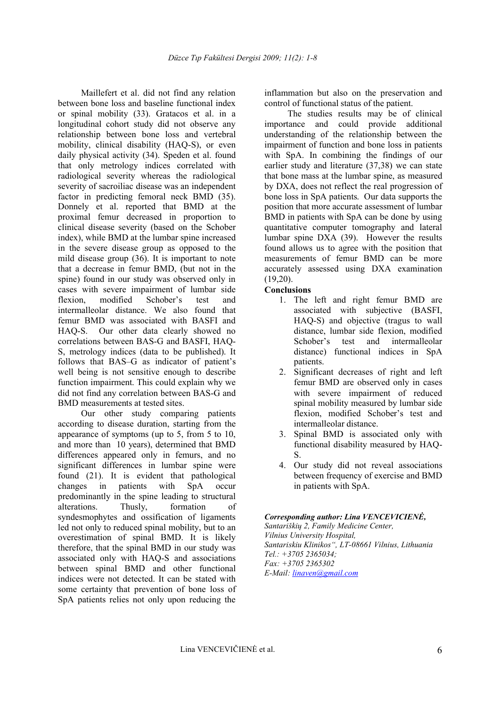Maillefert et al. did not find any relation between bone loss and baseline functional index or spinal mobility (33). Gratacos et al. in a longitudinal cohort study did not observe any relationship between bone loss and vertebral mobility, clinical disability (HAQ-S), or even daily physical activity (34). Speden et al. found that only metrology indices correlated with radiological severity whereas the radiological severity of sacroiliac disease was an independent factor in predicting femoral neck BMD (35). Donnely et al. reported that BMD at the proximal femur decreased in proportion to clinical disease severity (based on the Schober index), while BMD at the lumbar spine increased in the severe disease group as opposed to the mild disease group (36). It is important to note that a decrease in femur BMD, (but not in the spine) found in our study was observed only in cases with severe impairment of lumbar side flexion, modified Schober's test and intermalleolar distance. We also found that femur BMD was associated with BASFI and HAQ-S. Our other data clearly showed no correlations between BAS-G and BASFI, HAQ-S, metrology indices (data to be published). It follows that BAS–G as indicator of patient's well being is not sensitive enough to describe function impairment. This could explain why we did not find any correlation between BAS-G and BMD measurements at tested sites.

Our other study comparing patients according to disease duration, starting from the appearance of symptoms (up to 5, from 5 to 10, and more than 10 years), determined that BMD differences appeared only in femurs, and no significant differences in lumbar spine were found (21). It is evident that pathological changes in patients with SpA occur predominantly in the spine leading to structural alterations. Thusly, formation of syndesmophytes and ossification of ligaments led not only to reduced spinal mobility, but to an overestimation of spinal BMD. It is likely therefore, that the spinal BMD in our study was associated only with HAQ-S and associations between spinal BMD and other functional indices were not detected. It can be stated with some certainty that prevention of bone loss of SpA patients relies not only upon reducing the

inflammation but also on the preservation and control of functional status of the patient.

The studies results may be of clinical importance and could provide additional understanding of the relationship between the impairment of function and bone loss in patients with SpA. In combining the findings of our earlier study and literature (37,38) we can state that bone mass at the lumbar spine, as measured by DXA, does not reflect the real progression of bone loss in SpA patients. Our data supports the position that more accurate assessment of lumbar BMD in patients with SpA can be done by using quantitative computer tomography and lateral lumbar spine DXA (39). However the results found allows us to agree with the position that measurements of femur BMD can be more accurately assessed using DXA examination (19,20).

### **Conclusions**

- 1. The left and right femur BMD are associated with subjective (BASFI, HAQ-S) and objective (tragus to wall distance, lumbar side flexion, modified Schober's test and intermalleolar distance) functional indices in SpA patients.
- 2. Significant decreases of right and left femur BMD are observed only in cases with severe impairment of reduced spinal mobility measured by lumbar side flexion, modified Schober's test and intermalleolar distance.
- 3. Spinal BMD is associated only with functional disability measured by HAQ-S.
- 4. Our study did not reveal associations between frequency of exercise and BMD in patients with SpA.

#### *Corresponding author: Lina VENCEVICIENĖ,*

*Santariškių 2, Family Medicine Center, Vilnius University Hospital, Santariskiu Klinikos", LT-08661 Vilnius, Lithuania Tel.: +3705 2365034; Fax: +3705 2365302 E-Mail: linaven@gmail.com*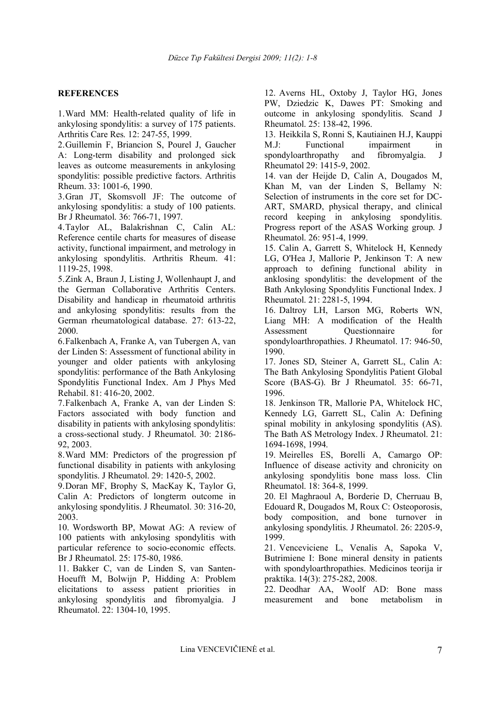## **REFERENCES**

1.Ward MM: Health-related quality of life in ankylosing spondylitis: a survey of 175 patients. Arthritis Care Res. 12: 247-55, 1999.

2.Guillemin F, Briancion S, Pourel J, Gaucher A: Long-term disability and prolonged sick leaves as outcome measurements in ankylosing spondylitis: possible predictive factors. Arthritis Rheum. 33: 1001-6, 1990.

3.Gran JT, Skomsvoll JF: The outcome of ankylosing spondylitis: a study of 100 patients. Br J Rheumatol. 36: 766-71, 1997.

4.Taylor AL, Balakrishnan C, Calin AL: Reference centile charts for measures of disease activity, functional impairment, and metrology in ankylosing spondylitis. Arthritis Rheum. 41: 1119-25, 1998.

5.Zink A, Braun J, Listing J, Wollenhaupt J, and the German Collaborative Arthritis Centers. Disability and handicap in rheumatoid arthritis and ankylosing spondylitis: results from the German rheumatological database. 27: 613-22, 2000.

6.Falkenbach A, Franke A, van Tubergen A, van der Linden S: Assessment of functional ability in younger and older patients with ankylosing spondylitis: performance of the Bath Ankylosing Spondylitis Functional Index. Am J Phys Med Rehabil. 81: 416-20, 2002.

7.Falkenbach A, Franke A, van der Linden S: Factors associated with body function and disability in patients with ankylosing spondylitis: a cross-sectional study. J Rheumatol. 30: 2186- 92, 2003.

8.Ward MM: Predictors of the progression pf functional disability in patients with ankylosing spondylitis. J Rheumatol. 29: 1420-5, 2002.

9.Doran MF, Brophy S, MacKay K, Taylor G, Calin A: Predictors of longterm outcome in ankylosing spondylitis. J Rheumatol. 30: 316-20, 2003.

10. Wordsworth BP, Mowat AG: A review of 100 patients with ankylosing spondylitis with particular reference to socio-economic effects. Br J Rheumatol. 25: 175-80, 1986.

11. Bakker C, van de Linden S, van Santen-Hoeufft M, Bolwijn P, Hidding A: Problem elicitations to assess patient priorities in ankylosing spondylitis and fibromyalgia. J Rheumatol. 22: 1304-10, 1995.

12. Averns HL, Oxtoby J, Taylor HG, Jones PW, Dziedzic K, Dawes PT: Smoking and outcome in ankylosing spondylitis. Scand J Rheumatol. 25: 138-42, 1996.

13. Heikkila S, Ronni S, Kautiainen H.J, Kauppi M.J: Functional impairment in spondyloarthropathy and fibromyalgia. J Rheumatol 29: 1415-9, 2002.

14. van der Heijde D, Calin A, Dougados M, Khan M, van der Linden S, Bellamy N: Selection of instruments in the core set for DC-ART, SMARD, physical therapy, and clinical record keeping in ankylosing spondylitis. Progress report of the ASAS Working group. J Rheumatol. 26: 951-4, 1999.

15. Calin A, Garrett S, Whitelock H, Kennedy LG, O'Hea J, Mallorie P, Jenkinson T: A new approach to defining functional ability in anklosing spondylitis: the development of the Bath Ankylosing Spondylitis Functional Index. J Rheumatol. 21: 2281-5, 1994.

16. Daltroy LH, Larson MG, Roberts WN, Liang MH: A modification of the Health Assessment Questionnaire for spondyloarthropathies. J Rheumatol. 17: 946-50, 1990.

17. Jones SD, Steiner A, Garrett SL, Calin A: The Bath Ankylosing Spondylitis Patient Global Score (BAS-G). Br J Rheumatol. 35: 66-71, 1996.

18. Jenkinson TR, Mallorie PA, Whitelock HC, Kennedy LG, Garrett SL, Calin A: Defining spinal mobility in ankylosing spondylitis (AS). The Bath AS Metrology Index. J Rheumatol. 21: 1694-1698, 1994.

19. Meirelles ES, Borelli A, Camargo OP: Influence of disease activity and chronicity on ankylosing spondylitis bone mass loss. Clin Rheumatol. 18: 364-8, 1999.

20. El Maghraoul A, Borderie D, Cherruau B, Edouard R, Dougados M, Roux C: Osteoporosis, body composition, and bone turnover in ankylosing spondylitis. J Rheumatol. 26: 2205-9, 1999.

21. Venceviciene L, Venalis A, Sapoka V, Butrimiene I: Bone mineral density in patients with spondyloarthropathies. Medicinos teorija ir praktika. 14(3): 275-282, 2008.

22. Deodhar AA, Woolf AD: Bone mass measurement and bone metabolism in